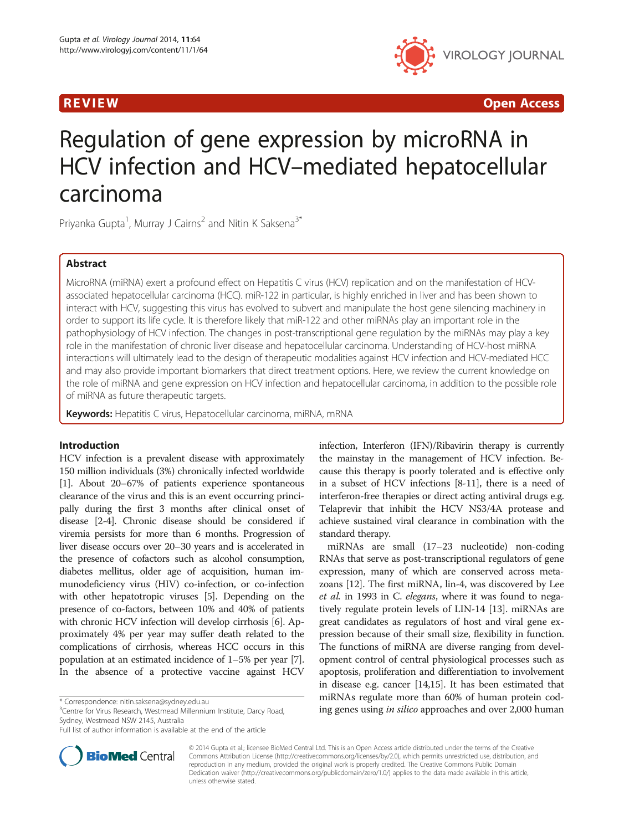

**REVIEW CONSUMING A REVIEW CONSUMING A REVIEW CONSUMING A REVIEW CONSUMING A REVIEW CONSUMING A REVIEW OPEN ACCESS** 

# Regulation of gene expression by microRNA in HCV infection and HCV–mediated hepatocellular carcinoma

Priyanka Gupta<sup>1</sup>, Murray J Cairns<sup>2</sup> and Nitin K Saksena<sup>3\*</sup>

# Abstract

MicroRNA (miRNA) exert a profound effect on Hepatitis C virus (HCV) replication and on the manifestation of HCVassociated hepatocellular carcinoma (HCC). miR-122 in particular, is highly enriched in liver and has been shown to interact with HCV, suggesting this virus has evolved to subvert and manipulate the host gene silencing machinery in order to support its life cycle. It is therefore likely that miR-122 and other miRNAs play an important role in the pathophysiology of HCV infection. The changes in post-transcriptional gene regulation by the miRNAs may play a key role in the manifestation of chronic liver disease and hepatocellular carcinoma. Understanding of HCV-host miRNA interactions will ultimately lead to the design of therapeutic modalities against HCV infection and HCV-mediated HCC and may also provide important biomarkers that direct treatment options. Here, we review the current knowledge on the role of miRNA and gene expression on HCV infection and hepatocellular carcinoma, in addition to the possible role of miRNA as future therapeutic targets.

Keywords: Hepatitis C virus, Hepatocellular carcinoma, miRNA, mRNA

#### Introduction

HCV infection is a prevalent disease with approximately 150 million individuals (3%) chronically infected worldwide [[1](#page-9-0)]. About 20–67% of patients experience spontaneous clearance of the virus and this is an event occurring principally during the first 3 months after clinical onset of disease [\[2](#page-9-0)[-4](#page-10-0)]. Chronic disease should be considered if viremia persists for more than 6 months. Progression of liver disease occurs over 20–30 years and is accelerated in the presence of cofactors such as alcohol consumption, diabetes mellitus, older age of acquisition, human immunodeficiency virus (HIV) co-infection, or co-infection with other hepatotropic viruses [[5\]](#page-10-0). Depending on the presence of co-factors, between 10% and 40% of patients with chronic HCV infection will develop cirrhosis [\[6\]](#page-10-0). Approximately 4% per year may suffer death related to the complications of cirrhosis, whereas HCC occurs in this population at an estimated incidence of 1–5% per year [[7](#page-10-0)]. In the absence of a protective vaccine against HCV

<sup>3</sup>Centre for Virus Research, Westmead Millennium Institute, Darcy Road, Sydney, Westmead NSW 2145, Australia



miRNAs are small (17–23 nucleotide) non-coding RNAs that serve as post-transcriptional regulators of gene expression, many of which are conserved across metazoans [\[12](#page-10-0)]. The first miRNA, lin-4, was discovered by Lee et al. in 1993 in C. elegans, where it was found to negatively regulate protein levels of LIN-14 [[13](#page-10-0)]. miRNAs are great candidates as regulators of host and viral gene expression because of their small size, flexibility in function. The functions of miRNA are diverse ranging from development control of central physiological processes such as apoptosis, proliferation and differentiation to involvement in disease e.g. cancer [\[14,15](#page-10-0)]. It has been estimated that miRNAs regulate more than 60% of human protein coding genes using in silico approaches and over 2,000 human \* Correspondence: [nitin.saksena@sydney.edu.au](mailto:nitin.saksena@sydney.edu.au) <sup>3</sup>



© 2014 Gupta et al.; licensee BioMed Central Ltd. This is an Open Access article distributed under the terms of the Creative Commons Attribution License [\(http://creativecommons.org/licenses/by/2.0\)](http://creativecommons.org/licenses/by/2.0), which permits unrestricted use, distribution, and reproduction in any medium, provided the original work is properly credited. The Creative Commons Public Domain Dedication waiver [\(http://creativecommons.org/publicdomain/zero/1.0/](http://creativecommons.org/publicdomain/zero/1.0/)) applies to the data made available in this article, unless otherwise stated.

Full list of author information is available at the end of the article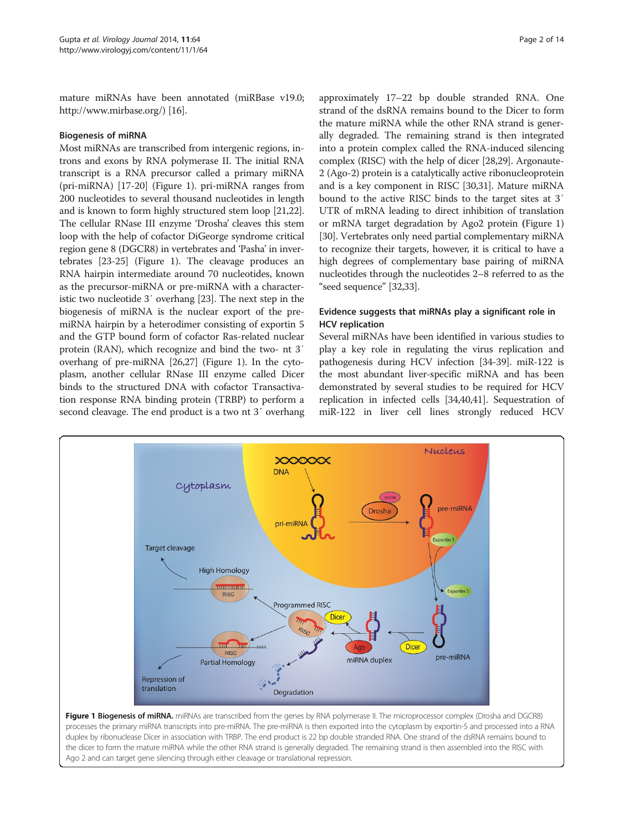mature miRNAs have been annotated (miRBase v19.0; [http://www.mirbase.org/\)](http://www.mirbase.org/) [[16](#page-10-0)].

#### Biogenesis of miRNA

Most miRNAs are transcribed from intergenic regions, introns and exons by RNA polymerase II. The initial RNA transcript is a RNA precursor called a primary miRNA (pri-miRNA) [\[17](#page-10-0)-[20](#page-10-0)] (Figure 1). pri-miRNA ranges from 200 nucleotides to several thousand nucleotides in length and is known to form highly structured stem loop [\[21,22](#page-10-0)]. The cellular RNase III enzyme 'Drosha' cleaves this stem loop with the help of cofactor DiGeorge syndrome critical region gene 8 (DGCR8) in vertebrates and 'Pasha' in invertebrates [[23-25\]](#page-10-0) (Figure 1). The cleavage produces an RNA hairpin intermediate around 70 nucleotides, known as the precursor-miRNA or pre-miRNA with a characteristic two nucleotide 3′ overhang [[23](#page-10-0)]. The next step in the biogenesis of miRNA is the nuclear export of the premiRNA hairpin by a heterodimer consisting of exportin 5 and the GTP bound form of cofactor Ras-related nuclear protein (RAN), which recognize and bind the two- nt 3′ overhang of pre-miRNA [[26,27\]](#page-10-0) (Figure 1). In the cytoplasm, another cellular RNase III enzyme called Dicer binds to the structured DNA with cofactor Transactivation response RNA binding protein (TRBP) to perform a second cleavage. The end product is a two nt 3′ overhang

approximately 17–22 bp double stranded RNA. One strand of the dsRNA remains bound to the Dicer to form the mature miRNA while the other RNA strand is generally degraded. The remaining strand is then integrated into a protein complex called the RNA-induced silencing complex (RISC) with the help of dicer [\[28,29\]](#page-10-0). Argonaute-2 (Ago-2) protein is a catalytically active ribonucleoprotein and is a key component in RISC [[30,31](#page-10-0)]. Mature miRNA bound to the active RISC binds to the target sites at 3′ UTR of mRNA leading to direct inhibition of translation or mRNA target degradation by Ago2 protein (Figure 1) [[30](#page-10-0)]. Vertebrates only need partial complementary miRNA to recognize their targets, however, it is critical to have a high degrees of complementary base pairing of miRNA nucleotides through the nucleotides 2–8 referred to as the "seed sequence" [\[32,33](#page-10-0)].

# Evidence suggests that miRNAs play a significant role in HCV replication

Several miRNAs have been identified in various studies to play a key role in regulating the virus replication and pathogenesis during HCV infection [[34](#page-10-0)-[39](#page-10-0)]. miR-122 is the most abundant liver-specific miRNA and has been demonstrated by several studies to be required for HCV replication in infected cells [[34,40,41\]](#page-10-0). Sequestration of miR-122 in liver cell lines strongly reduced HCV



Figure 1 Biogenesis of miRNA. miRNAs are transcribed from the genes by RNA polymerase II. The microprocessor complex (Drosha and DGCR8) processes the primary miRNA transcripts into pre-miRNA. The pre-miRNA is then exported into the cytoplasm by exportin-5 and processed into a RNA duplex by ribonuclease Dicer in association with TRBP. The end product is 22 bp double stranded RNA. One strand of the dsRNA remains bound to the dicer to form the mature miRNA while the other RNA strand is generally degraded. The remaining strand is then assembled into the RISC with Ago 2 and can target gene silencing through either cleavage or translational repression.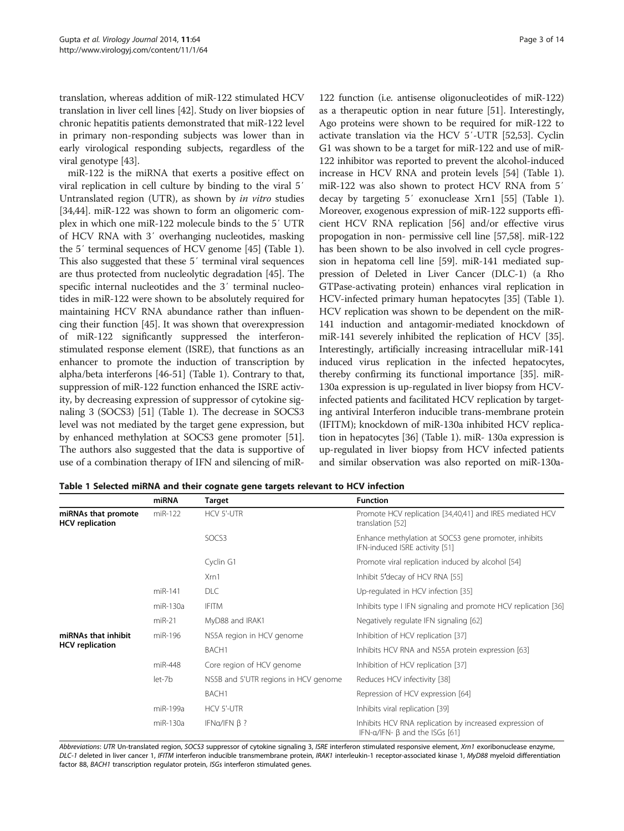<span id="page-2-0"></span>translation, whereas addition of miR-122 stimulated HCV translation in liver cell lines [[42](#page-10-0)]. Study on liver biopsies of chronic hepatitis patients demonstrated that miR-122 level in primary non-responding subjects was lower than in early virological responding subjects, regardless of the viral genotype [\[43](#page-10-0)].

miR-122 is the miRNA that exerts a positive effect on viral replication in cell culture by binding to the viral 5′ Untranslated region (UTR), as shown by in vitro studies [[34,44](#page-10-0)]. miR-122 was shown to form an oligomeric complex in which one miR-122 molecule binds to the 5′ UTR of HCV RNA with 3′ overhanging nucleotides, masking the 5′ terminal sequences of HCV genome [[45](#page-10-0)] (Table 1). This also suggested that these 5′ terminal viral sequences are thus protected from nucleolytic degradation [[45](#page-10-0)]. The specific internal nucleotides and the 3′ terminal nucleotides in miR-122 were shown to be absolutely required for maintaining HCV RNA abundance rather than influencing their function [[45\]](#page-10-0). It was shown that overexpression of miR-122 significantly suppressed the interferonstimulated response element (ISRE), that functions as an enhancer to promote the induction of transcription by alpha/beta interferons [[46](#page-10-0)-[51](#page-10-0)] (Table 1). Contrary to that, suppression of miR-122 function enhanced the ISRE activity, by decreasing expression of suppressor of cytokine signaling 3 (SOCS3) [[51](#page-10-0)] (Table 1). The decrease in SOCS3 level was not mediated by the target gene expression, but by enhanced methylation at SOCS3 gene promoter [[51](#page-10-0)]. The authors also suggested that the data is supportive of use of a combination therapy of IFN and silencing of miR-

122 function (i.e. antisense oligonucleotides of miR-122) as a therapeutic option in near future [\[51\]](#page-10-0). Interestingly, Ago proteins were shown to be required for miR-122 to activate translation via the HCV 5′-UTR [\[52,53\]](#page-10-0). Cyclin G1 was shown to be a target for miR-122 and use of miR-122 inhibitor was reported to prevent the alcohol-induced increase in HCV RNA and protein levels [\[54\]](#page-10-0) (Table 1). miR-122 was also shown to protect HCV RNA from 5′ decay by targeting 5′ exonuclease Xrn1 [\[55\]](#page-11-0) (Table 1). Moreover, exogenous expression of miR-122 supports efficient HCV RNA replication [\[56\]](#page-11-0) and/or effective virus propogation in non- permissive cell line [\[57,58\]](#page-11-0). miR-122 has been shown to be also involved in cell cycle progression in hepatoma cell line [[59](#page-11-0)]. miR-141 mediated suppression of Deleted in Liver Cancer (DLC-1) (a Rho GTPase-activating protein) enhances viral replication in HCV-infected primary human hepatocytes [\[35\]](#page-10-0) (Table 1). HCV replication was shown to be dependent on the miR-141 induction and antagomir-mediated knockdown of miR-141 severely inhibited the replication of HCV [[35](#page-10-0)]. Interestingly, artificially increasing intracellular miR-141 induced virus replication in the infected hepatocytes, thereby confirming its functional importance [\[35](#page-10-0)]. miR-130a expression is up-regulated in liver biopsy from HCVinfected patients and facilitated HCV replication by targeting antiviral Interferon inducible trans-membrane protein (IFITM); knockdown of miR-130a inhibited HCV replication in hepatocytes [[36\]](#page-10-0) (Table 1). miR- 130a expression is up-regulated in liver biopsy from HCV infected patients and similar observation was also reported on miR-130a-

| Table 1 Selected miRNA and their cognate gene targets relevant to HCV infection |
|---------------------------------------------------------------------------------|
|---------------------------------------------------------------------------------|

|                                               | miRNA     | Target                               | <b>Function</b>                                                                                          |
|-----------------------------------------------|-----------|--------------------------------------|----------------------------------------------------------------------------------------------------------|
| miRNAs that promote<br><b>HCV</b> replication | $miR-122$ | HCV 5'-UTR                           | Promote HCV replication [34,40,41] and IRES mediated HCV<br>translation [52]                             |
|                                               |           | SOCS3                                | Enhance methylation at SOCS3 gene promoter, inhibits<br>IFN-induced ISRE activity [51]                   |
|                                               |           | Cyclin G1                            | Promote viral replication induced by alcohol [54]                                                        |
|                                               |           | Xrn1                                 | Inhibit 5'decay of HCV RNA [55]                                                                          |
|                                               | $miR-141$ | <b>DLC</b>                           | Up-regulated in HCV infection [35]                                                                       |
|                                               | miR-130a  | <b>IFITM</b>                         | Inhibits type I IFN signaling and promote HCV replication [36]                                           |
|                                               | $miR-21$  | MyD88 and IRAK1                      | Negatively regulate IFN signaling [62]                                                                   |
| miRNAs that inhibit<br><b>HCV</b> replication | miR-196   | NS5A region in HCV genome            | Inhibition of HCV replication [37]                                                                       |
|                                               |           | BACH1                                | Inhibits HCV RNA and NS5A protein expression [63]                                                        |
|                                               | miR-448   | Core region of HCV genome            | Inhibition of HCV replication [37]                                                                       |
|                                               | let-7b    | NS5B and 5'UTR regions in HCV genome | Reduces HCV infectivity [38]                                                                             |
|                                               |           | BACH <sub>1</sub>                    | Repression of HCV expression [64]                                                                        |
|                                               | miR-199a  | HCV 5'-UTR                           | Inhibits viral replication [39]                                                                          |
|                                               | miR-130a  | IFNa/IFN $\beta$ ?                   | Inhibits HCV RNA replication by increased expression of<br>IFN- $\alpha$ /IFN- $\beta$ and the ISGs [61] |

Abbreviations: UTR Un-translated region, SOCS3 suppressor of cytokine signaling 3, ISRE interferon stimulated responsive element, Xrn1 exoribonuclease enzyme, DLC-1 deleted in liver cancer 1, IFITM interferon inducible transmembrane protein, IRAK1 interleukin-1 receptor-associated kinase 1, MyD88 myeloid differentiation factor 88, BACH1 transcription regulator protein, ISGs interferon stimulated genes.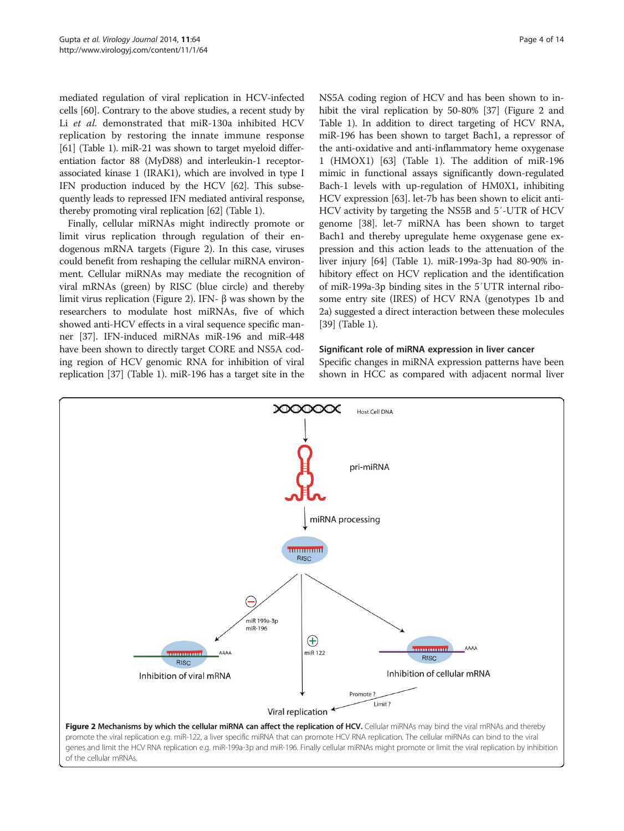mediated regulation of viral replication in HCV-infected cells [[60\]](#page-11-0). Contrary to the above studies, a recent study by Li et al. demonstrated that miR-130a inhibited HCV replication by restoring the innate immune response [[61](#page-11-0)] (Table [1\)](#page-2-0). miR-21 was shown to target myeloid differentiation factor 88 (MyD88) and interleukin-1 receptorassociated kinase 1 (IRAK1), which are involved in type I IFN production induced by the HCV [\[62\]](#page-11-0). This subsequently leads to repressed IFN mediated antiviral response, thereby promoting viral replication [\[62\]](#page-11-0) (Table [1](#page-2-0)).

Finally, cellular miRNAs might indirectly promote or limit virus replication through regulation of their endogenous mRNA targets (Figure 2). In this case, viruses could benefit from reshaping the cellular miRNA environment. Cellular miRNAs may mediate the recognition of viral mRNAs (green) by RISC (blue circle) and thereby limit virus replication (Figure 2). IFN- β was shown by the researchers to modulate host miRNAs, five of which showed anti-HCV effects in a viral sequence specific manner [[37](#page-10-0)]. IFN-induced miRNAs miR-196 and miR-448 have been shown to directly target CORE and NS5A coding region of HCV genomic RNA for inhibition of viral replication [\[37](#page-10-0)] (Table [1](#page-2-0)). miR-196 has a target site in the

NS5A coding region of HCV and has been shown to inhibit the viral replication by 50-80% [\[37](#page-10-0)] (Figure 2 and Table [1](#page-2-0)). In addition to direct targeting of HCV RNA, miR-196 has been shown to target Bach1, a repressor of the anti-oxidative and anti-inflammatory heme oxygenase 1 (HMOX1) [[63](#page-11-0)] (Table [1\)](#page-2-0). The addition of miR-196 mimic in functional assays significantly down-regulated Bach-1 levels with up-regulation of HM0X1, inhibiting HCV expression [[63](#page-11-0)]. let-7b has been shown to elicit anti-HCV activity by targeting the NS5B and 5′-UTR of HCV genome [\[38\]](#page-10-0). let-7 miRNA has been shown to target Bach1 and thereby upregulate heme oxygenase gene expression and this action leads to the attenuation of the liver injury [\[64\]](#page-11-0) (Table [1](#page-2-0)). miR-199a-3p had 80-90% inhibitory effect on HCV replication and the identification of miR-199a-3p binding sites in the 5′UTR internal ribosome entry site (IRES) of HCV RNA (genotypes 1b and 2a) suggested a direct interaction between these molecules [[39](#page-10-0)] (Table [1](#page-2-0)).

#### Significant role of miRNA expression in liver cancer

Specific changes in miRNA expression patterns have been shown in HCC as compared with adjacent normal liver



genes and limit the HCV RNA replication e.g. miR-199a-3p and miR-196. Finally cellular miRNAs might promote or limit the viral replication by inhibition of the cellular mRNAs.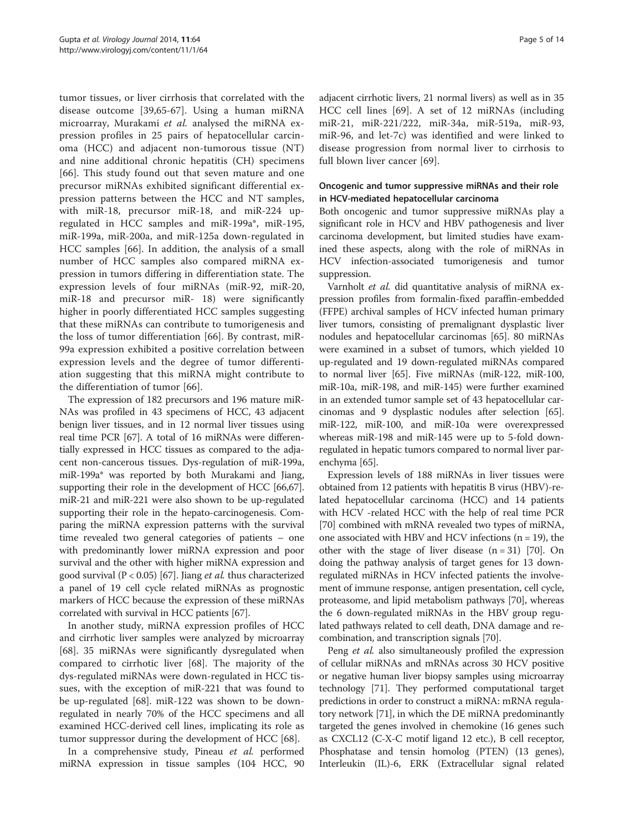tumor tissues, or liver cirrhosis that correlated with the disease outcome [[39](#page-10-0)[,65](#page-11-0)-[67\]](#page-11-0). Using a human miRNA microarray, Murakami et al. analysed the miRNA expression profiles in 25 pairs of hepatocellular carcinoma (HCC) and adjacent non-tumorous tissue (NT) and nine additional chronic hepatitis (CH) specimens [[66\]](#page-11-0). This study found out that seven mature and one precursor miRNAs exhibited significant differential expression patterns between the HCC and NT samples, with miR-18, precursor miR-18, and miR-224 upregulated in HCC samples and miR-199a\*, miR-195, miR-199a, miR-200a, and miR-125a down-regulated in HCC samples [[66\]](#page-11-0). In addition, the analysis of a small number of HCC samples also compared miRNA expression in tumors differing in differentiation state. The expression levels of four miRNAs (miR-92, miR-20, miR-18 and precursor miR- 18) were significantly higher in poorly differentiated HCC samples suggesting that these miRNAs can contribute to tumorigenesis and the loss of tumor differentiation [\[66](#page-11-0)]. By contrast, miR-99a expression exhibited a positive correlation between expression levels and the degree of tumor differentiation suggesting that this miRNA might contribute to the differentiation of tumor [[66](#page-11-0)].

The expression of 182 precursors and 196 mature miR-NAs was profiled in 43 specimens of HCC, 43 adjacent benign liver tissues, and in 12 normal liver tissues using real time PCR [\[67\]](#page-11-0). A total of 16 miRNAs were differentially expressed in HCC tissues as compared to the adjacent non-cancerous tissues. Dys-regulation of miR-199a, miR-199a\* was reported by both Murakami and Jiang, supporting their role in the development of HCC [\[66,67](#page-11-0)]. miR-21 and miR-221 were also shown to be up-regulated supporting their role in the hepato-carcinogenesis. Comparing the miRNA expression patterns with the survival time revealed two general categories of patients – one with predominantly lower miRNA expression and poor survival and the other with higher miRNA expression and good survival  $(P < 0.05)$  [[67](#page-11-0)]. Jiang *et al.* thus characterized a panel of 19 cell cycle related miRNAs as prognostic markers of HCC because the expression of these miRNAs correlated with survival in HCC patients [\[67\]](#page-11-0).

In another study, miRNA expression profiles of HCC and cirrhotic liver samples were analyzed by microarray [[68\]](#page-11-0). 35 miRNAs were significantly dysregulated when compared to cirrhotic liver [[68\]](#page-11-0). The majority of the dys-regulated miRNAs were down-regulated in HCC tissues, with the exception of miR-221 that was found to be up-regulated [[68\]](#page-11-0). miR-122 was shown to be downregulated in nearly 70% of the HCC specimens and all examined HCC-derived cell lines, implicating its role as tumor suppressor during the development of HCC [\[68\]](#page-11-0).

In a comprehensive study, Pineau et al. performed miRNA expression in tissue samples (104 HCC, 90

adjacent cirrhotic livers, 21 normal livers) as well as in 35 HCC cell lines [[69\]](#page-11-0). A set of 12 miRNAs (including miR-21, miR-221/222, miR-34a, miR-519a, miR-93, miR-96, and let-7c) was identified and were linked to disease progression from normal liver to cirrhosis to full blown liver cancer [\[69](#page-11-0)].

# Oncogenic and tumor suppressive miRNAs and their role in HCV-mediated hepatocellular carcinoma

Both oncogenic and tumor suppressive miRNAs play a significant role in HCV and HBV pathogenesis and liver carcinoma development, but limited studies have examined these aspects, along with the role of miRNAs in HCV infection-associated tumorigenesis and tumor suppression.

Varnholt et al. did quantitative analysis of miRNA expression profiles from formalin-fixed paraffin-embedded (FFPE) archival samples of HCV infected human primary liver tumors, consisting of premalignant dysplastic liver nodules and hepatocellular carcinomas [[65](#page-11-0)]. 80 miRNAs were examined in a subset of tumors, which yielded 10 up-regulated and 19 down-regulated miRNAs compared to normal liver [\[65\]](#page-11-0). Five miRNAs (miR-122, miR-100, miR-10a, miR-198, and miR-145) were further examined in an extended tumor sample set of 43 hepatocellular carcinomas and 9 dysplastic nodules after selection [[65](#page-11-0)]. miR-122, miR-100, and miR-10a were overexpressed whereas miR-198 and miR-145 were up to 5-fold downregulated in hepatic tumors compared to normal liver parenchyma [\[65\]](#page-11-0).

Expression levels of 188 miRNAs in liver tissues were obtained from 12 patients with hepatitis B virus (HBV)-related hepatocellular carcinoma (HCC) and 14 patients with HCV -related HCC with the help of real time PCR [[70](#page-11-0)] combined with mRNA revealed two types of miRNA, one associated with HBV and HCV infections ( $n = 19$ ), the other with the stage of liver disease  $(n = 31)$  [\[70](#page-11-0)]. On doing the pathway analysis of target genes for 13 downregulated miRNAs in HCV infected patients the involvement of immune response, antigen presentation, cell cycle, proteasome, and lipid metabolism pathways [\[70\]](#page-11-0), whereas the 6 down-regulated miRNAs in the HBV group regulated pathways related to cell death, DNA damage and recombination, and transcription signals [[70](#page-11-0)].

Peng *et al.* also simultaneously profiled the expression of cellular miRNAs and mRNAs across 30 HCV positive or negative human liver biopsy samples using microarray technology [\[71](#page-11-0)]. They performed computational target predictions in order to construct a miRNA: mRNA regulatory network [\[71\]](#page-11-0), in which the DE miRNA predominantly targeted the genes involved in chemokine (16 genes such as CXCL12 (C-X-C motif ligand 12 etc.), B cell receptor, Phosphatase and tensin homolog (PTEN) (13 genes), Interleukin (IL)-6, ERK (Extracellular signal related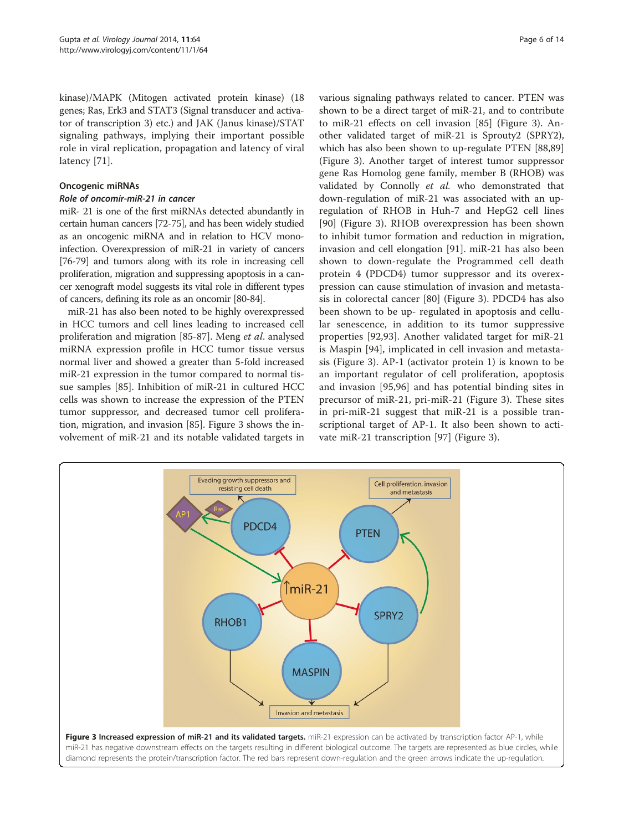kinase)/MAPK (Mitogen activated protein kinase) (18 genes; Ras, Erk3 and STAT3 (Signal transducer and activator of transcription 3) etc.) and JAK (Janus kinase)/STAT signaling pathways, implying their important possible role in viral replication, propagation and latency of viral latency [\[71](#page-11-0)].

#### Oncogenic miRNAs

#### Role of oncomir-miR-21 in cancer

miR- 21 is one of the first miRNAs detected abundantly in certain human cancers [\[72](#page-11-0)-[75](#page-11-0)], and has been widely studied as an oncogenic miRNA and in relation to HCV monoinfection. Overexpression of miR-21 in variety of cancers [[76](#page-11-0)-[79\]](#page-11-0) and tumors along with its role in increasing cell proliferation, migration and suppressing apoptosis in a cancer xenograft model suggests its vital role in different types of cancers, defining its role as an oncomir [\[80](#page-11-0)-[84](#page-11-0)].

miR-21 has also been noted to be highly overexpressed in HCC tumors and cell lines leading to increased cell proliferation and migration [\[85](#page-11-0)-[87\]](#page-11-0). Meng et al. analysed miRNA expression profile in HCC tumor tissue versus normal liver and showed a greater than 5-fold increased miR-21 expression in the tumor compared to normal tissue samples [[85\]](#page-11-0). Inhibition of miR-21 in cultured HCC cells was shown to increase the expression of the PTEN tumor suppressor, and decreased tumor cell proliferation, migration, and invasion [[85\]](#page-11-0). Figure 3 shows the involvement of miR-21 and its notable validated targets in various signaling pathways related to cancer. PTEN was shown to be a direct target of miR-21, and to contribute to miR-21 effects on cell invasion [\[85\]](#page-11-0) (Figure 3). Another validated target of miR-21 is Sprouty2 (SPRY2), which has also been shown to up-regulate PTEN [[88](#page-11-0),[89](#page-11-0)] (Figure 3). Another target of interest tumor suppressor gene Ras Homolog gene family, member B (RHOB) was validated by Connolly et al. who demonstrated that down-regulation of miR-21 was associated with an upregulation of RHOB in Huh-7 and HepG2 cell lines [[90\]](#page-11-0) (Figure 3). RHOB overexpression has been shown to inhibit tumor formation and reduction in migration, invasion and cell elongation [\[91](#page-11-0)]. miR-21 has also been shown to down-regulate the Programmed cell death protein 4 (PDCD4) tumor suppressor and its overexpression can cause stimulation of invasion and metastasis in colorectal cancer [\[80](#page-11-0)] (Figure 3). PDCD4 has also been shown to be up- regulated in apoptosis and cellular senescence, in addition to its tumor suppressive properties [[92,93](#page-11-0)]. Another validated target for miR-21 is Maspin [[94](#page-11-0)], implicated in cell invasion and metastasis (Figure 3). AP-1 (activator protein 1) is known to be an important regulator of cell proliferation, apoptosis and invasion [[95,96\]](#page-11-0) and has potential binding sites in precursor of miR-21, pri-miR-21 (Figure 3). These sites in pri-miR-21 suggest that miR-21 is a possible transcriptional target of AP-1. It also been shown to activate miR-21 transcription [[97\]](#page-12-0) (Figure 3).

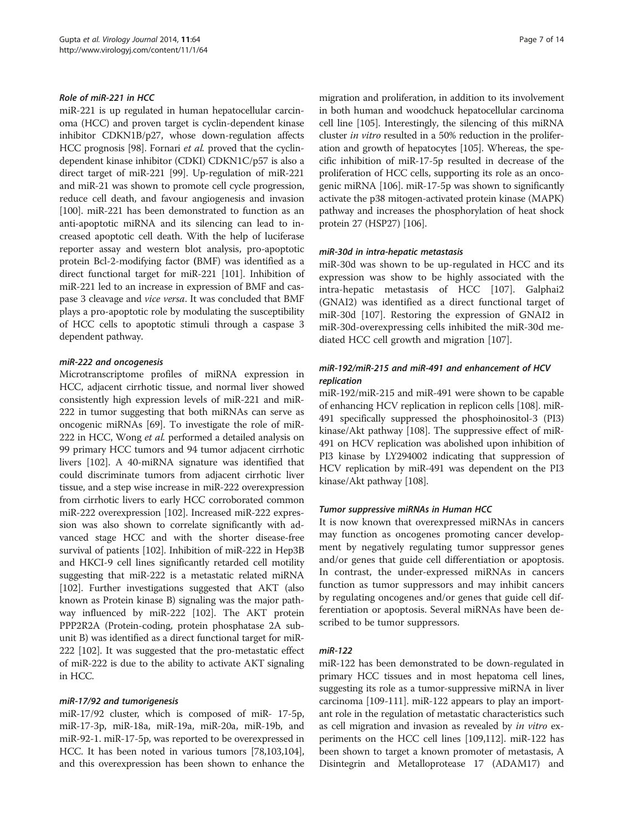# Role of miR-221 in HCC

miR-221 is up regulated in human hepatocellular carcinoma (HCC) and proven target is cyclin-dependent kinase inhibitor CDKN1B/p27, whose down-regulation affects HCC prognosis [\[98\]](#page-12-0). Fornari et al. proved that the cyclindependent kinase inhibitor (CDKI) CDKN1C/p57 is also a direct target of miR-221 [[99](#page-12-0)]. Up-regulation of miR-221 and miR-21 was shown to promote cell cycle progression, reduce cell death, and favour angiogenesis and invasion [[100](#page-12-0)]. miR-221 has been demonstrated to function as an anti-apoptotic miRNA and its silencing can lead to increased apoptotic cell death. With the help of luciferase reporter assay and western blot analysis, pro-apoptotic protein Bcl-2-modifying factor (BMF) was identified as a direct functional target for miR-221 [\[101\]](#page-12-0). Inhibition of miR-221 led to an increase in expression of BMF and caspase 3 cleavage and vice versa. It was concluded that BMF plays a pro-apoptotic role by modulating the susceptibility of HCC cells to apoptotic stimuli through a caspase 3 dependent pathway.

#### miR-222 and oncogenesis

Microtranscriptome profiles of miRNA expression in HCC, adjacent cirrhotic tissue, and normal liver showed consistently high expression levels of miR-221 and miR-222 in tumor suggesting that both miRNAs can serve as oncogenic miRNAs [[69\]](#page-11-0). To investigate the role of miR-222 in HCC, Wong et al. performed a detailed analysis on 99 primary HCC tumors and 94 tumor adjacent cirrhotic livers [[102](#page-12-0)]. A 40-miRNA signature was identified that could discriminate tumors from adjacent cirrhotic liver tissue, and a step wise increase in miR-222 overexpression from cirrhotic livers to early HCC corroborated common miR-222 overexpression [[102](#page-12-0)]. Increased miR-222 expression was also shown to correlate significantly with advanced stage HCC and with the shorter disease-free survival of patients [\[102](#page-12-0)]. Inhibition of miR-222 in Hep3B and HKCI-9 cell lines significantly retarded cell motility suggesting that miR-222 is a metastatic related miRNA [[102](#page-12-0)]. Further investigations suggested that AKT (also known as Protein kinase B) signaling was the major pathway influenced by miR-222 [[102](#page-12-0)]. The AKT protein PPP2R2A (Protein-coding, protein phosphatase 2A subunit B) was identified as a direct functional target for miR-222 [[102](#page-12-0)]. It was suggested that the pro-metastatic effect of miR-222 is due to the ability to activate AKT signaling in HCC.

#### miR-17/92 and tumorigenesis

miR-17/92 cluster, which is composed of miR- 17-5p, miR-17-3p, miR-18a, miR-19a, miR-20a, miR-19b, and miR-92-1. miR-17-5p, was reported to be overexpressed in HCC. It has been noted in various tumors [[78](#page-11-0)[,103,104](#page-12-0)], and this overexpression has been shown to enhance the

migration and proliferation, in addition to its involvement in both human and woodchuck hepatocellular carcinoma cell line [[105](#page-12-0)]. Interestingly, the silencing of this miRNA cluster in vitro resulted in a 50% reduction in the proliferation and growth of hepatocytes [\[105\]](#page-12-0). Whereas, the specific inhibition of miR-17-5p resulted in decrease of the proliferation of HCC cells, supporting its role as an oncogenic miRNA [\[106\]](#page-12-0). miR-17-5p was shown to significantly activate the p38 mitogen-activated protein kinase (MAPK) pathway and increases the phosphorylation of heat shock protein 27 (HSP27) [[106](#page-12-0)].

#### miR-30d in intra-hepatic metastasis

miR-30d was shown to be up-regulated in HCC and its expression was show to be highly associated with the intra-hepatic metastasis of HCC [[107](#page-12-0)]. Galphai2 (GNAI2) was identified as a direct functional target of miR-30d [\[107\]](#page-12-0). Restoring the expression of GNAI2 in miR-30d-overexpressing cells inhibited the miR-30d mediated HCC cell growth and migration [[107\]](#page-12-0).

# miR-192/miR-215 and miR-491 and enhancement of HCV replication

miR-192/miR-215 and miR-491 were shown to be capable of enhancing HCV replication in replicon cells [\[108](#page-12-0)]. miR-491 specifically suppressed the phosphoinositol-3 (PI3) kinase/Akt pathway [\[108](#page-12-0)]. The suppressive effect of miR-491 on HCV replication was abolished upon inhibition of PI3 kinase by LY294002 indicating that suppression of HCV replication by miR-491 was dependent on the PI3 kinase/Akt pathway [\[108](#page-12-0)].

# Tumor suppressive miRNAs in Human HCC

It is now known that overexpressed miRNAs in cancers may function as oncogenes promoting cancer development by negatively regulating tumor suppressor genes and/or genes that guide cell differentiation or apoptosis. In contrast, the under-expressed miRNAs in cancers function as tumor suppressors and may inhibit cancers by regulating oncogenes and/or genes that guide cell differentiation or apoptosis. Several miRNAs have been described to be tumor suppressors.

# miR-122

miR-122 has been demonstrated to be down-regulated in primary HCC tissues and in most hepatoma cell lines, suggesting its role as a tumor-suppressive miRNA in liver carcinoma [[109](#page-12-0)-[111](#page-12-0)]. miR-122 appears to play an important role in the regulation of metastatic characteristics such as cell migration and invasion as revealed by *in vitro* experiments on the HCC cell lines [\[109,112\]](#page-12-0). miR-122 has been shown to target a known promoter of metastasis, A Disintegrin and Metalloprotease 17 (ADAM17) and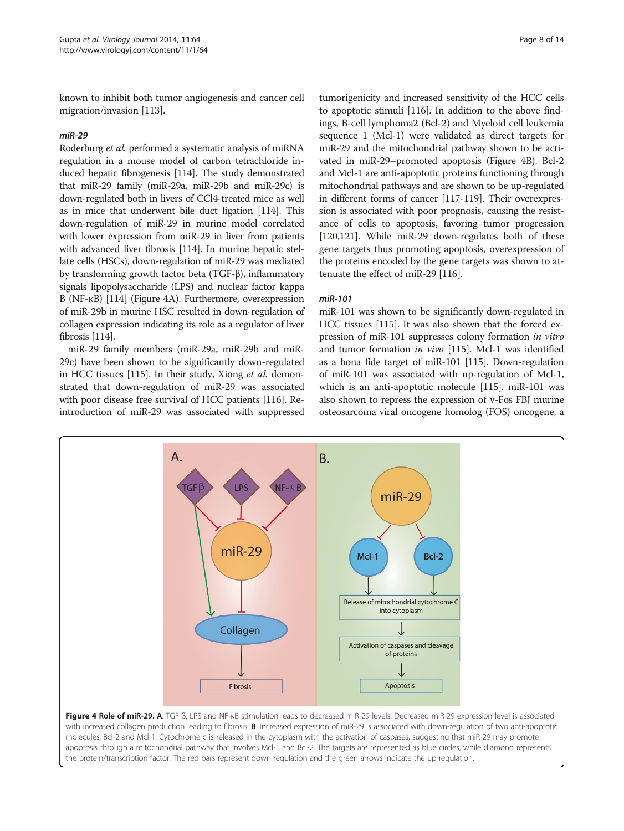known to inhibit both tumor angiogenesis and cancer cell migration/invasion [\[113](#page-12-0)].

#### miR-29

Roderburg et al. performed a systematic analysis of miRNA regulation in a mouse model of carbon tetrachloride induced hepatic fibrogenesis [\[114](#page-12-0)]. The study demonstrated that miR-29 family (miR-29a, miR-29b and miR-29c) is down-regulated both in livers of CCl4-treated mice as well as in mice that underwent bile duct ligation [\[114](#page-12-0)]. This down-regulation of miR-29 in murine model correlated with lower expression from miR-29 in liver from patients with advanced liver fibrosis [\[114](#page-12-0)]. In murine hepatic stellate cells (HSCs), down-regulation of miR-29 was mediated by transforming growth factor beta (TGF-β), inflammatory signals lipopolysaccharide (LPS) and nuclear factor kappa B (NF-κB) [\[114](#page-12-0)] (Figure 4A). Furthermore, overexpression of miR-29b in murine HSC resulted in down-regulation of collagen expression indicating its role as a regulator of liver fibrosis [[114\]](#page-12-0).

miR-29 family members (miR-29a, miR-29b and miR-29c) have been shown to be significantly down-regulated in HCC tissues [\[115\]](#page-12-0). In their study, Xiong et al. demonstrated that down-regulation of miR-29 was associated with poor disease free survival of HCC patients [\[116\]](#page-12-0). Reintroduction of miR-29 was associated with suppressed

tumorigenicity and increased sensitivity of the HCC cells to apoptotic stimuli [\[116\]](#page-12-0). In addition to the above findings, B-cell lymphoma2 (Bcl-2) and Myeloid cell leukemia sequence 1 (Mcl-1) were validated as direct targets for miR-29 and the mitochondrial pathway shown to be activated in miR-29–promoted apoptosis (Figure 4B). Bcl-2 and Mcl-1 are anti-apoptotic proteins functioning through mitochondrial pathways and are shown to be up-regulated in different forms of cancer [[117-119](#page-12-0)]. Their overexpression is associated with poor prognosis, causing the resistance of cells to apoptosis, favoring tumor progression [[120,121\]](#page-12-0). While miR-29 down-regulates both of these gene targets thus promoting apoptosis, overexpression of the proteins encoded by the gene targets was shown to attenuate the effect of miR-29 [\[116\]](#page-12-0).

#### miR-101

miR-101 was shown to be significantly down-regulated in HCC tissues [[115](#page-12-0)]. It was also shown that the forced expression of miR-101 suppresses colony formation in vitro and tumor formation in vivo [[115](#page-12-0)]. Mcl-1 was identified as a bona fide target of miR-101 [\[115](#page-12-0)]. Down-regulation of miR-101 was associated with up-regulation of Mcl-1, which is an anti-apoptotic molecule [\[115\]](#page-12-0). miR-101 was also shown to repress the expression of v-Fos FBJ murine osteosarcoma viral oncogene homolog (FOS) oncogene, a



Figure 4 Role of miR-29. A. TGF-β, LPS and NF-κB stimulation leads to decreased miR-29 levels. Decreased miR-29 expression level is associated with increased collagen production leading to fibrosis. **B**. Increased expression of miR-29 is associated with down-regulation of two anti-apoptotic molecules, Bcl-2 and Mcl-1. Cytochrome c is released in the cytoplasm with the activation of caspases, suggesting that miR-29 may promote apoptosis through a mitochondrial pathway that involves Mcl-1 and Bcl-2. The targets are represented as blue circles, while diamond represents the protein/transcription factor. The red bars represent down-regulation and the green arrows indicate the up-regulation.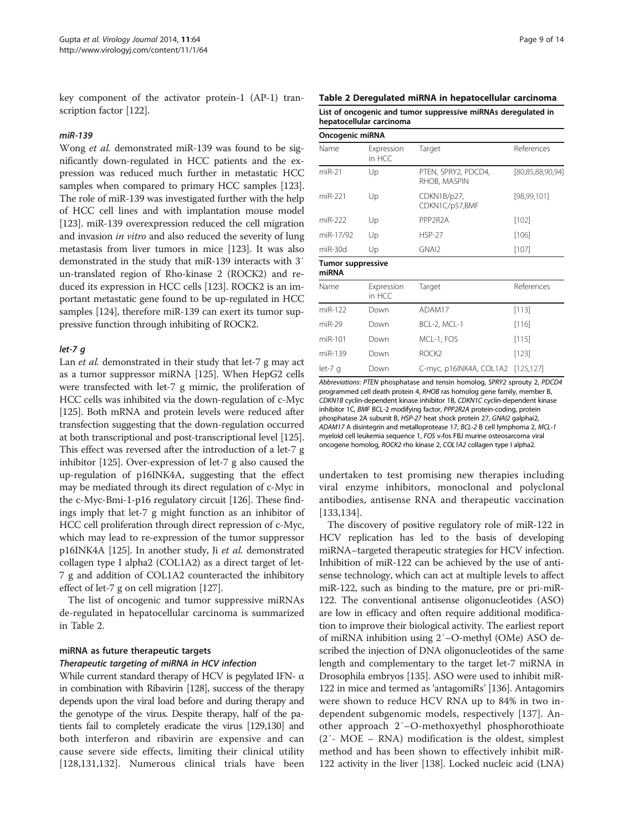key component of the activator protein-1 (AP-1) transcription factor [\[122\]](#page-12-0).

#### miR-139

Wong et al. demonstrated miR-139 was found to be significantly down-regulated in HCC patients and the expression was reduced much further in metastatic HCC samples when compared to primary HCC samples [[123](#page-12-0)]. The role of miR-139 was investigated further with the help of HCC cell lines and with implantation mouse model [[123](#page-12-0)]. miR-139 overexpression reduced the cell migration and invasion *in vitro* and also reduced the severity of lung metastasis from liver tumors in mice [[123](#page-12-0)]. It was also demonstrated in the study that miR-139 interacts with 3′ un-translated region of Rho-kinase 2 (ROCK2) and reduced its expression in HCC cells [\[123\]](#page-12-0). ROCK2 is an important metastatic gene found to be up-regulated in HCC samples [\[124\]](#page-12-0), therefore miR-139 can exert its tumor suppressive function through inhibiting of ROCK2.

#### let-7 g

Lan *et al.* demonstrated in their study that let-7 g may act as a tumor suppressor miRNA [\[125\]](#page-12-0). When HepG2 cells were transfected with let-7 g mimic, the proliferation of HCC cells was inhibited via the down-regulation of c-Myc [[125](#page-12-0)]. Both mRNA and protein levels were reduced after transfection suggesting that the down-regulation occurred at both transcriptional and post-transcriptional level [[125](#page-12-0)]. This effect was reversed after the introduction of a let-7 g inhibitor [[125](#page-12-0)]. Over-expression of let-7 g also caused the up-regulation of p16INK4A, suggesting that the effect may be mediated through its direct regulation of c-Myc in the c-Myc-Bmi-1-p16 regulatory circuit [[126](#page-12-0)]. These findings imply that let-7 g might function as an inhibitor of HCC cell proliferation through direct repression of c-Myc, which may lead to re-expression of the tumor suppressor p16INK4A [[125](#page-12-0)]. In another study, Ji et al. demonstrated collagen type I alpha2 (COL1A2) as a direct target of let-7 g and addition of COL1A2 counteracted the inhibitory effect of let-7 g on cell migration [\[127\]](#page-12-0).

The list of oncogenic and tumor suppressive miRNAs de-regulated in hepatocellular carcinoma is summarized in Table 2.

# miRNA as future therapeutic targets Therapeutic targeting of miRNA in HCV infection

While current standard therapy of HCV is pegylated IFN-  $\alpha$ in combination with Ribavirin [\[128](#page-12-0)], success of the therapy depends upon the viral load before and during therapy and the genotype of the virus. Despite therapy, half of the patients fail to completely eradicate the virus [[129,130\]](#page-12-0) and both interferon and ribavirin are expensive and can cause severe side effects, limiting their clinical utility [[128,131,132](#page-12-0)]. Numerous clinical trials have been

# Table 2 Deregulated miRNA in hepatocellular carcinoma

List of oncogenic and tumor suppressive miRNAs deregulated in hepatocellular carcinoma

| Oncogenic miRNA                   |                                |                                       |                  |  |  |
|-----------------------------------|--------------------------------|---------------------------------------|------------------|--|--|
| Name                              | Expression<br>Target<br>in HCC |                                       | References       |  |  |
| miR-21                            | Up                             | PTEN, SPRY2, PDCD4,<br>RHOB, MASPIN   | [80,85,88,90,94] |  |  |
| miR-221                           | Up                             | CDKN1B/p27,<br>CDKN1C/p57,BMF         | [98, 99, 101]    |  |  |
| miR-222                           | Up                             | PPP2R2A                               | [102]            |  |  |
| miR-17/92                         | Up                             | <b>HSP-27</b>                         | [106]            |  |  |
| miR-30d                           | Up                             | GNAI2                                 | [107]            |  |  |
| <b>Tumor suppressive</b><br>miRNA |                                |                                       |                  |  |  |
| Name                              | Expression<br>in HCC           | Target                                | References       |  |  |
| miR-122                           | Down                           | ADAM17                                | [113]            |  |  |
| $miR-29$                          | Down                           | BCL-2, MCL-1                          | [116]            |  |  |
| miR-101                           | Down                           | MCL-1, FOS                            | [115]            |  |  |
| miR-139                           | Down                           | ROCK <sub>2</sub>                     | $[123]$          |  |  |
| let-7 g                           | Down                           | C-myc, p16INK4A, COL1A2<br>[125, 127] |                  |  |  |
|                                   |                                |                                       |                  |  |  |

Abbreviations: PTEN phosphatase and tensin homolog, SPRY2 sprouty 2, PDCD4 programmed cell death protein 4, RHOB ras homolog gene family, member B, CDKN1B cyclin-dependent kinase inhibitor 1B, CDKN1C cyclin-dependent kinase inhibitor 1C, BMF BCL-2 modifying factor, PPP2R2A protein-coding, protein phosphatase 2A subunit B, HSP-27 heat shock protein 27, GNAI2 galphai2, ADAM17 A disintegrin and metalloprotease 17, BCL-2 B cell lymphoma 2, MCL-1 myeloid cell leukemia sequence 1, FOS v-fos FBJ murine osteosarcoma viral oncogene homolog, ROCK2 rho kinase 2, COL1A2 collagen type I alpha2.

undertaken to test promising new therapies including viral enzyme inhibitors, monoclonal and polyclonal antibodies, antisense RNA and therapeutic vaccination [[133,134](#page-12-0)].

The discovery of positive regulatory role of miR-122 in HCV replication has led to the basis of developing miRNA–targeted therapeutic strategies for HCV infection. Inhibition of miR-122 can be achieved by the use of antisense technology, which can act at multiple levels to affect miR-122, such as binding to the mature, pre or pri-miR-122. The conventional antisense oligonucleotides (ASO) are low in efficacy and often require additional modification to improve their biological activity. The earliest report of miRNA inhibition using 2′–O-methyl (OMe) ASO described the injection of DNA oligonucleotides of the same length and complementary to the target let-7 miRNA in Drosophila embryos [\[135\]](#page-12-0). ASO were used to inhibit miR-122 in mice and termed as 'antagomiRs' [\[136\]](#page-12-0). Antagomirs were shown to reduce HCV RNA up to 84% in two independent subgenomic models, respectively [[137](#page-13-0)]. Another approach 2′–O-methoxyethyl phosphorothioate (2′- MOE – RNA) modification is the oldest, simplest method and has been shown to effectively inhibit miR-122 activity in the liver [[138](#page-13-0)]. Locked nucleic acid (LNA)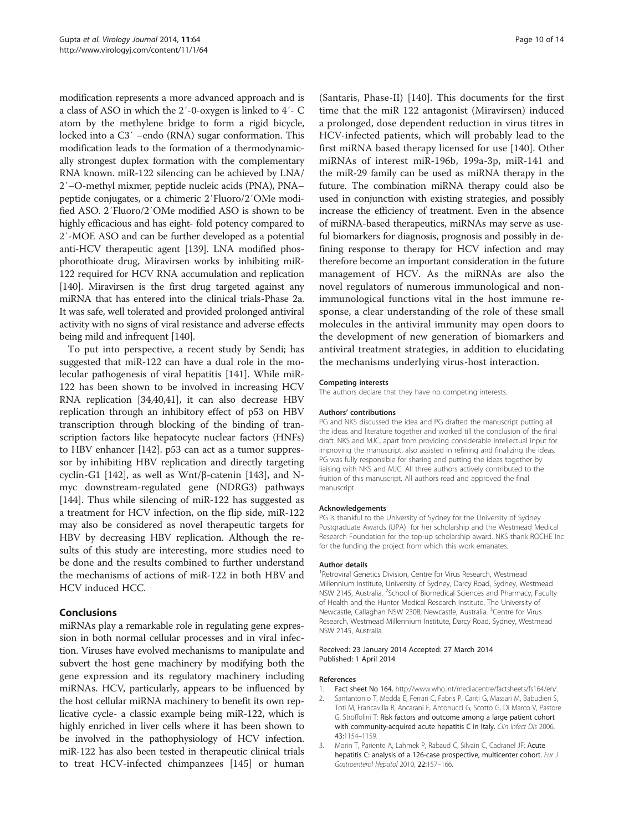<span id="page-9-0"></span>modification represents a more advanced approach and is a class of ASO in which the 2′-0-oxygen is linked to 4′- C atom by the methylene bridge to form a rigid bicycle, locked into a C3′ –endo (RNA) sugar conformation. This modification leads to the formation of a thermodynamically strongest duplex formation with the complementary RNA known. miR-122 silencing can be achieved by LNA/ 2′–O-methyl mixmer, peptide nucleic acids (PNA), PNA– peptide conjugates, or a chimeric 2′Fluoro/2′OMe modified ASO. 2′Fluoro/2′OMe modified ASO is shown to be highly efficacious and has eight- fold potency compared to 2′-MOE ASO and can be further developed as a potential anti-HCV therapeutic agent [[139](#page-13-0)]. LNA modified phosphorothioate drug, Miravirsen works by inhibiting miR-122 required for HCV RNA accumulation and replication [[140](#page-13-0)]. Miravirsen is the first drug targeted against any miRNA that has entered into the clinical trials-Phase 2a. It was safe, well tolerated and provided prolonged antiviral activity with no signs of viral resistance and adverse effects being mild and infrequent [[140](#page-13-0)].

To put into perspective, a recent study by Sendi; has suggested that miR-122 can have a dual role in the molecular pathogenesis of viral hepatitis [\[141](#page-13-0)]. While miR-122 has been shown to be involved in increasing HCV RNA replication [\[34,40,41\]](#page-10-0), it can also decrease HBV replication through an inhibitory effect of p53 on HBV transcription through blocking of the binding of transcription factors like hepatocyte nuclear factors (HNFs) to HBV enhancer [[142\]](#page-13-0). p53 can act as a tumor suppressor by inhibiting HBV replication and directly targeting cyclin-G1 [[142\]](#page-13-0), as well as Wnt/β-catenin [\[143](#page-13-0)], and Nmyc downstream-regulated gene (NDRG3) pathways [[144\]](#page-13-0). Thus while silencing of miR-122 has suggested as a treatment for HCV infection, on the flip side, miR-122 may also be considered as novel therapeutic targets for HBV by decreasing HBV replication. Although the results of this study are interesting, more studies need to be done and the results combined to further understand the mechanisms of actions of miR-122 in both HBV and HCV induced HCC.

# Conclusions

miRNAs play a remarkable role in regulating gene expression in both normal cellular processes and in viral infection. Viruses have evolved mechanisms to manipulate and subvert the host gene machinery by modifying both the gene expression and its regulatory machinery including miRNAs. HCV, particularly, appears to be influenced by the host cellular miRNA machinery to benefit its own replicative cycle- a classic example being miR-122, which is highly enriched in liver cells where it has been shown to be involved in the pathophysiology of HCV infection. miR-122 has also been tested in therapeutic clinical trials to treat HCV-infected chimpanzees [[145\]](#page-13-0) or human (Santaris, Phase-II) [\[140](#page-13-0)]. This documents for the first time that the miR 122 antagonist (Miravirsen) induced a prolonged, dose dependent reduction in virus titres in HCV-infected patients, which will probably lead to the first miRNA based therapy licensed for use [[140\]](#page-13-0). Other miRNAs of interest miR-196b, 199a-3p, miR-141 and the miR-29 family can be used as miRNA therapy in the future. The combination miRNA therapy could also be used in conjunction with existing strategies, and possibly increase the efficiency of treatment. Even in the absence of miRNA-based therapeutics, miRNAs may serve as useful biomarkers for diagnosis, prognosis and possibly in defining response to therapy for HCV infection and may therefore become an important consideration in the future management of HCV. As the miRNAs are also the novel regulators of numerous immunological and nonimmunological functions vital in the host immune response, a clear understanding of the role of these small molecules in the antiviral immunity may open doors to the development of new generation of biomarkers and antiviral treatment strategies, in addition to elucidating the mechanisms underlying virus-host interaction.

#### Competing interests

The authors declare that they have no competing interests.

#### Authors' contributions

PG and NKS discussed the idea and PG drafted the manuscript putting all the ideas and literature together and worked till the conclusion of the final draft. NKS and MJC, apart from providing considerable intellectual input for improving the manuscript, also assisted in refining and finalizing the ideas. PG was fully responsible for sharing and putting the ideas together by liaising with NKS and MJC. All three authors actively contributed to the fruition of this manuscript. All authors read and approved the final manuscript.

#### Acknowledgements

PG is thankful to the University of Sydney for the University of Sydney Postgraduate Awards (UPA) for her scholarship and the Westmead Medical Research Foundation for the top-up scholarship award. NKS thank ROCHE Inc for the funding the project from which this work emanates.

#### Author details

<sup>1</sup> Retroviral Genetics Division, Centre for Virus Research, Westmead Millennium Institute, University of Sydney, Darcy Road, Sydney, Westmead NSW 2145, Australia. <sup>2</sup>School of Biomedical Sciences and Pharmacy, Faculty of Health and the Hunter Medical Research Institute, The University of Newcastle, Callaghan NSW 2308, Newcastle, Australia. <sup>3</sup>Centre for Virus Research, Westmead Millennium Institute, Darcy Road, Sydney, Westmead NSW 2145, Australia.

#### Received: 23 January 2014 Accepted: 27 March 2014 Published: 1 April 2014

#### References

- 1. Fact sheet No 164. [http://www.who.int/mediacentre/factsheets/fs164/en/.](http://www.who.int/mediacentre/factsheets/fs164/en/)
- 2. Santantonio T, Medda E, Ferrari C, Fabris P, Cariti G, Massari M, Babudieri S, Toti M, Francavilla R, Ancarani F, Antonucci G, Scotto G, Di Marco V, Pastore G, Stroffolini T: Risk factors and outcome among a large patient cohort with community-acquired acute hepatitis C in Italy. Clin Infect Dis 2006, 43:1154–1159.
- 3. Morin T, Pariente A, Lahmek P, Rabaud C, Silvain C, Cadranel JF: Acute hepatitis C: analysis of a 126-case prospective, multicenter cohort. Eur J Gastroenterol Hepatol 2010, 22:157–166.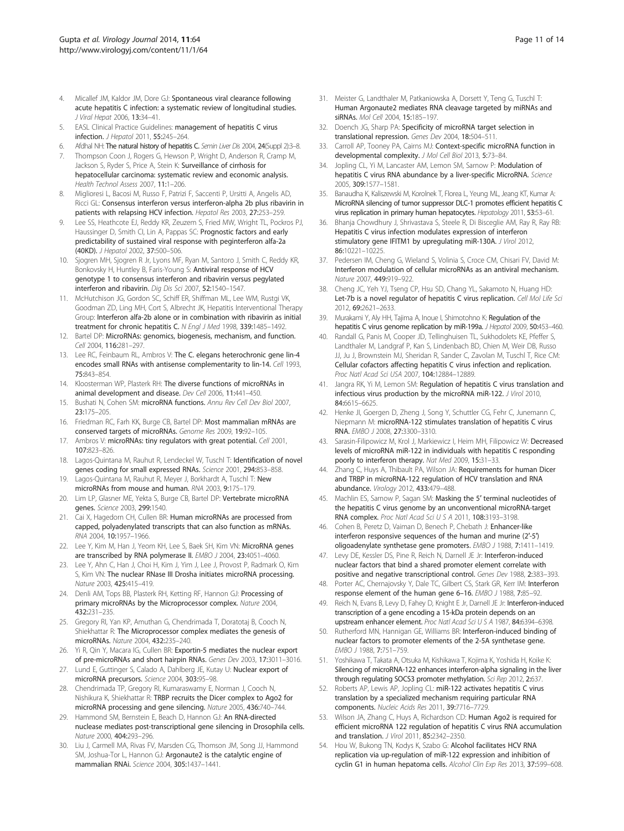- <span id="page-10-0"></span>4. Micallef JM, Kaldor JM, Dore GJ: Spontaneous viral clearance following acute hepatitis C infection: a systematic review of longitudinal studies. J Viral Hepat 2006, 13:34–41.
- EASL Clinical Practice Guidelines: management of hepatitis C virus infection. J Hepatol 2011, 55:245–264.
- 6. Afdhal NH: The natural history of hepatitis C. Semin Liver Dis 2004, 24(Suppl 2):3-8.
- 7. Thompson Coon J, Rogers G, Hewson P, Wright D, Anderson R, Cramp M, Jackson S, Ryder S, Price A, Stein K: Surveillance of cirrhosis for hepatocellular carcinoma: systematic review and economic analysis. Health Technol Assess 2007, 11:1–206.
- 8. Miglioresi L, Bacosi M, Russo F, Patrizi F, Saccenti P, Ursitti A, Angelis AD, Ricci GL: Consensus interferon versus interferon-alpha 2b plus ribavirin in patients with relapsing HCV infection. Hepatol Res 2003, 27:253–259.
- 9. Lee SS, Heathcote EJ, Reddy KR, Zeuzem S, Fried MW, Wright TL, Pockros PJ, Haussinger D, Smith CI, Lin A, Pappas SC: Prognostic factors and early predictability of sustained viral response with peginterferon alfa-2a (40KD). J Hepatol 2002, 37:500–506.
- Sjogren MH, Sjogren R Jr, Lyons MF, Ryan M, Santoro J, Smith C, Reddy KR, Bonkovsky H, Huntley B, Faris-Young S: Antiviral response of HCV genotype 1 to consensus interferon and ribavirin versus pegylated interferon and ribavirin. Dig Dis Sci 2007, 52:1540–1547.
- 11. McHutchison JG, Gordon SC, Schiff ER, Shiffman ML, Lee WM, Rustgi VK, Goodman ZD, Ling MH, Cort S, Albrecht JK, Hepatitis Interventional Therapy Group: Interferon alfa-2b alone or in combination with ribavirin as initial treatment for chronic hepatitis C. N Engl J Med 1998, 339:1485–1492.
- 12. Bartel DP: MicroRNAs: genomics, biogenesis, mechanism, and function. Cell 2004, 116:281–297.
- 13. Lee RC, Feinbaum RL, Ambros V: The C. elegans heterochronic gene lin-4 encodes small RNAs with antisense complementarity to lin-14. Cell 1993, 75:843–854.
- 14. Kloosterman WP, Plasterk RH: The diverse functions of microRNAs in animal development and disease. Dev Cell 2006, 11:441–450.
- 15. Bushati N, Cohen SM: microRNA functions. Annu Rev Cell Dev Biol 2007, 23:175–205.
- 16. Friedman RC, Farh KK, Burge CB, Bartel DP: Most mammalian mRNAs are conserved targets of microRNAs. Genome Res 2009, 19:92–105.
- 17. Ambros V: microRNAs: tiny regulators with great potential. Cell 2001, 107:823–826.
- 18. Lagos-Quintana M, Rauhut R, Lendeckel W, Tuschl T: Identification of novel genes coding for small expressed RNAs. Science 2001, 294:853–858.
- 19. Lagos-Quintana M, Rauhut R, Meyer J, Borkhardt A, Tuschl T: New microRNAs from mouse and human. RNA 2003, 9:175–179.
- 20. Lim LP, Glasner ME, Yekta S, Burge CB, Bartel DP: Vertebrate microRNA genes. Science 2003, 299:1540.
- 21. Cai X, Hagedorn CH, Cullen BR: Human microRNAs are processed from capped, polyadenylated transcripts that can also function as mRNAs. RNA 2004, 10:1957–1966.
- 22. Lee Y, Kim M, Han J, Yeom KH, Lee S, Baek SH, Kim VN: MicroRNA genes are transcribed by RNA polymerase II. EMBO J 2004, 23:4051-4060.
- 23. Lee Y, Ahn C, Han J, Choi H, Kim J, Yim J, Lee J, Provost P, Radmark O, Kim S, Kim VN: The nuclear RNase III Drosha initiates microRNA processing. Nature 2003, 425:415–419.
- 24. Denli AM, Tops BB, Plasterk RH, Ketting RF, Hannon GJ: Processing of primary microRNAs by the Microprocessor complex. Nature 2004, 432:231–235.
- 25. Gregory RI, Yan KP, Amuthan G, Chendrimada T, Doratotaj B, Cooch N, Shiekhattar R: The Microprocessor complex mediates the genesis of microRNAs. Nature 2004, 432:235–240.
- 26. Yi R, Qin Y, Macara IG, Cullen BR: Exportin-5 mediates the nuclear export of pre-microRNAs and short hairpin RNAs. Genes Dev 2003, 17:3011–3016.
- 27. Lund E, Guttinger S, Calado A, Dahlberg JE, Kutay U: Nuclear export of microRNA precursors. Science 2004, 303:95–98.
- 28. Chendrimada TP, Gregory RI, Kumaraswamy E, Norman J, Cooch N, Nishikura K, Shiekhattar R: TRBP recruits the Dicer complex to Ago2 for microRNA processing and gene silencing. Nature 2005, 436:740–744.
- 29. Hammond SM, Bernstein E, Beach D, Hannon GJ: An RNA-directed nuclease mediates post-transcriptional gene silencing in Drosophila cells. Nature 2000, 404:293–296.
- 30. Liu J, Carmell MA, Rivas FV, Marsden CG, Thomson JM, Song JJ, Hammond SM, Joshua-Tor L, Hannon GJ: Argonaute2 is the catalytic engine of mammalian RNAi. Science 2004, 305:1437–1441.
- 31. Meister G, Landthaler M, Patkaniowska A, Dorsett Y, Teng G, Tuschl T: Human Argonaute2 mediates RNA cleavage targeted by miRNAs and siRNAs. Mol Cell 2004, 15:185–197.
- 32. Doench JG, Sharp PA: Specificity of microRNA target selection in translational repression. Genes Dev 2004, 18:504–511.
- 33. Carroll AP, Tooney PA, Cairns MJ: Context-specific microRNA function in developmental complexity. J Mol Cell Biol 2013, 5:73-84.
- 34. Jopling CL, Yi M, Lancaster AM, Lemon SM, Sarnow P: Modulation of hepatitis C virus RNA abundance by a liver-specific MicroRNA. Science 2005, 309:1577–1581.
- 35. Banaudha K, Kaliszewski M, Korolnek T, Florea L, Yeung ML, Jeang KT, Kumar A: MicroRNA silencing of tumor suppressor DLC-1 promotes efficient hepatitis C virus replication in primary human hepatocytes. Hepatology 2011, 53:53–61.
- 36. Bhanja Chowdhury J, Shrivastava S, Steele R, Di Bisceglie AM, Ray R, Ray RB: Hepatitis C virus infection modulates expression of interferon stimulatory gene IFITM1 by upregulating miR-130A. J Virol 2012, 86:10221–10225.
- 37. Pedersen IM, Cheng G, Wieland S, Volinia S, Croce CM, Chisari FV, David M: Interferon modulation of cellular microRNAs as an antiviral mechanism. Nature 2007, 449:919–922.
- 38. Cheng JC, Yeh YJ, Tseng CP, Hsu SD, Chang YL, Sakamoto N, Huang HD: Let-7b is a novel regulator of hepatitis C virus replication. Cell Mol Life Sci 2012, 69:2621–2633.
- 39. Murakami Y, Aly HH, Tajima A, Inoue I, Shimotohno K: Regulation of the hepatitis C virus genome replication by miR-199a. J Hepatol 2009, 50:453-460.
- 40. Randall G, Panis M, Cooper JD, Tellinghuisen TL, Sukhodolets KE, Pfeffer S, Landthaler M, Landgraf P, Kan S, Lindenbach BD, Chien M, Weir DB, Russo JJ, Ju J, Brownstein MJ, Sheridan R, Sander C, Zavolan M, Tuschl T, Rice CM: Cellular cofactors affecting hepatitis C virus infection and replication. Proc Natl Acad Sci USA 2007, 104:12884–12889.
- 41. Jangra RK, Yi M, Lemon SM: Regulation of hepatitis C virus translation and infectious virus production by the microRNA miR-122. J Virol 2010, 84:6615–6625.
- 42. Henke JI, Goergen D, Zheng J, Song Y, Schuttler CG, Fehr C, Junemann C, Niepmann M: microRNA-122 stimulates translation of hepatitis C virus RNA. EMBO J 2008, 27:3300–3310.
- 43. Sarasin-Filipowicz M, Krol J, Markiewicz I, Heim MH, Filipowicz W: Decreased levels of microRNA miR-122 in individuals with hepatitis C responding poorly to interferon therapy. Nat Med 2009, 15:31–33.
- 44. Zhang C, Huys A, Thibault PA, Wilson JA: Requirements for human Dicer and TRBP in microRNA-122 regulation of HCV translation and RNA abundance. Virology 2012, 433:479–488.
- 45. Machlin ES, Sarnow P, Sagan SM: Masking the 5' terminal nucleotides of the hepatitis C virus genome by an unconventional microRNA-target RNA complex. Proc Natl Acad Sci U S A 2011, 108:3193–3198.
- 46. Cohen B, Peretz D, Vaiman D, Benech P, Chebath J: Enhancer-like interferon responsive sequences of the human and murine (2′-5′) oligoadenylate synthetase gene promoters. EMBO J 1988, 7:1411–1419.
- 47. Levy DE, Kessler DS, Pine R, Reich N, Darnell JE Jr: Interferon-induced nuclear factors that bind a shared promoter element correlate with positive and negative transcriptional control. Genes Dev 1988, 2:383–393.
- 48. Porter AC, Chernajovsky Y, Dale TC, Gilbert CS, Stark GR, Kerr IM: Interferon response element of the human gene 6–16. EMBO J 1988, 7:85–92.
- 49. Reich N, Evans B, Levy D, Fahey D, Knight E Jr, Darnell JE Jr: Interferon-induced transcription of a gene encoding a 15-kDa protein depends on an upstream enhancer element. Proc Natl Acad Sci U S A 1987, 84:6394–6398.
- Rutherford MN, Hannigan GE, Williams BR: Interferon-induced binding of nuclear factors to promoter elements of the 2-5A synthetase gene. EMBO J 1988, 7:751–759.
- 51. Yoshikawa T, Takata A, Otsuka M, Kishikawa T, Kojima K, Yoshida H, Koike K: Silencing of microRNA-122 enhances interferon-alpha signaling in the liver through regulating SOCS3 promoter methylation. Sci Rep 2012, 2:637.
- 52. Roberts AP, Lewis AP, Jopling CL: miR-122 activates hepatitis C virus translation by a specialized mechanism requiring particular RNA components. Nucleic Acids Res 2011, 39:7716–7729.
- 53. Wilson JA, Zhang C, Huys A, Richardson CD: Human Ago2 is required for efficient microRNA 122 regulation of hepatitis C virus RNA accumulation and translation. J Virol 2011, 85:2342–2350.
- 54. Hou W, Bukong TN, Kodys K, Szabo G: Alcohol facilitates HCV RNA replication via up-regulation of miR-122 expression and inhibition of cyclin G1 in human hepatoma cells. Alcohol Clin Exp Res 2013, 37:599-608.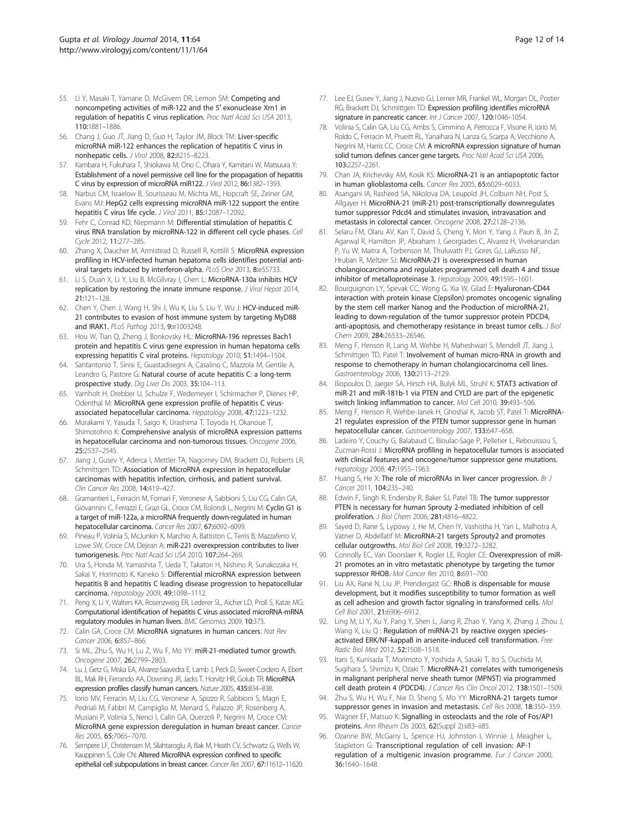- <span id="page-11-0"></span>55. Li Y, Masaki T, Yamane D, McGivern DR, Lemon SM: Competing and noncompeting activities of miR-122 and the 5′ exonuclease Xrn1 in regulation of hepatitis C virus replication. Proc Natl Acad Sci USA 2013, 110:1881–1886.
- 56. Chang J, Guo JT, Jiang D, Guo H, Taylor JM, Block TM: Liver-specific microRNA miR-122 enhances the replication of hepatitis C virus in nonhepatic cells. J Virol 2008, 82:8215–8223.
- 57. Kambara H, Fukuhara T, Shiokawa M, Ono C, Ohara Y, Kamitani W, Matsuura Y: Establishment of a novel permissive cell line for the propagation of hepatitis C virus by expression of microRNA miR122. J Virol 2012, 86:1382–1393.
- 58. Narbus CM, Israelow B, Sourisseau M, Michta ML, Hopcraft SE, Zeiner GM, Evans MJ: HepG2 cells expressing microRNA miR-122 support the entire hepatitis C virus life cycle. J Virol 2011, 85:12087–12092.
- 59. Fehr C, Conrad KD, Niepmann M: Differential stimulation of hepatitis C virus RNA translation by microRNA-122 in different cell cycle phases. Cell Cycle 2012, 11:277–285.
- 60. Zhang X, Daucher M, Armistead D, Russell R, Kottilil S: MicroRNA expression profiling in HCV-infected human hepatoma cells identifies potential antiviral targets induced by interferon-alpha. PLoS One 2013, 8:e55733.
- 61. Li S, Duan X, Li Y, Liu B, McGilvray I, Chen L: MicroRNA-130a inhibits HCV replication by restoring the innate immune response. J Viral Hepat 2014, 21:121–128.
- 62. Chen Y, Chen J, Wang H, Shi J, Wu K, Liu S, Liu Y, Wu J: HCV-induced miR-21 contributes to evasion of host immune system by targeting MyD88 and IRAK1. PLoS Pathog 2013, 9:e1003248.
- 63. Hou W, Tian Q, Zheng J, Bonkovsky HL: MicroRNA-196 represses Bach1 protein and hepatitis C virus gene expression in human hepatoma cells expressing hepatitis C viral proteins. Hepatology 2010, 51:1494–1504.
- 64. Santantonio T, Sinisi E, Guastadisegni A, Casalino C, Mazzola M, Gentile A, Leandro G, Pastore G: Natural course of acute hepatitis C: a long-term prospective study. Dig Liver Dis 2003, 35:104–113.
- 65. Varnholt H, Drebber U, Schulze F, Wedemeyer I, Schirmacher P, Dienes HP, Odenthal M: MicroRNA gene expression profile of hepatitis C virusassociated hepatocellular carcinoma. Hepatology 2008, 47:1223–1232.
- 66. Murakami Y, Yasuda T, Saigo K, Urashima T, Toyoda H, Okanoue T, Shimotohno K: Comprehensive analysis of microRNA expression patterns in hepatocellular carcinoma and non-tumorous tissues. Oncogene 2006, 25:2537–2545.
- 67. Jiang J, Gusev Y, Aderca I, Mettler TA, Nagorney DM, Brackett DJ, Roberts LR, Schmittgen TD: Association of MicroRNA expression in hepatocellular carcinomas with hepatitis infection, cirrhosis, and patient survival. Clin Cancer Res 2008, 14:419–427.
- 68. Gramantieri L, Ferracin M, Fornari F, Veronese A, Sabbioni S, Liu CG, Calin GA, Giovannini C, Ferrazzi E, Grazi GL, Croce CM, Bolondi L, Negrini M: Cyclin G1 is a target of miR-122a, a microRNA frequently down-regulated in human hepatocellular carcinoma. Cancer Res 2007, 67:6092–6099.
- 69. Pineau P, Volinia S, McJunkin K, Marchio A, Battiston C, Terris B, Mazzaferro V, Lowe SW, Croce CM, Dejean A: miR-221 overexpression contributes to liver tumorigenesis. Proc Natl Acad Sci USA 2010, 107:264–269.
- 70. Ura S, Honda M, Yamashita T, Ueda T, Takatori H, Nishino R, Sunakozaka H, Sakai Y. Horimoto K, Kaneko S: Differential microRNA expression between hepatitis B and hepatitis C leading disease progression to hepatocellular carcinoma. Hepatology 2009, 49:1098–1112.
- 71. Peng X, Li Y, Walters KA, Rosenzweig ER, Lederer SL, Aicher LD, Proll S, Katze MG: Computational identification of hepatitis C virus associated microRNA-mRNA regulatory modules in human livers. BMC Genomics 2009, 10:373.
- 72. Calin GA, Croce CM: MicroRNA signatures in human cancers. Nat Rev Cancer 2006, 6:857–866.
- 73. Si ML, Zhu S, Wu H, Lu Z, Wu F, Mo YY: miR-21-mediated tumor growth. Oncogene 2007, 26:2799–2803.
- 74. Lu J, Getz G, Miska EA, Alvarez-Saavedra E, Lamb J, Peck D, Sweet-Cordero A, Ebert BL, Mak RH, Ferrando AA, Downing JR, Jacks T, Horvitz HR, Golub TR: MicroRNA expression profiles classify human cancers. Nature 2005, 435:834–838.
- 75. Iorio MV, Ferracin M, Liu CG, Veronese A, Spizzo R, Sabbioni S, Magri E, Pedriali M, Fabbri M, Campiglio M, Menard S, Palazzo JP, Rosenberg A, Musiani P, Volinia S, Nenci I, Calin GA, Querzoli P, Negrini M, Croce CM: MicroRNA gene expression deregulation in human breast cancer. Cancer Res 2005, 65:7065–7070.
- 76. Sempere LF, Christensen M, Silahtaroglu A, Bak M, Heath CV, Schwartz G, Wells W, Kauppinen S, Cole CN: Altered MicroRNA expression confined to specific epithelial cell subpopulations in breast cancer. Cancer Res 2007, 67:11612-11620.
- 77. Lee EJ, Gusev Y, Jiang J, Nuovo GJ, Lerner MR, Frankel WL, Morgan DL, Postier RG, Brackett DJ, Schmittgen TD: Expression profiling identifies microRNA signature in pancreatic cancer. Int J Cancer 2007, 120:1046-1054
- 78. Volinia S, Calin GA, Liu CG, Ambs S, Cimmino A, Petrocca F, Visone R, Iorio M, Roldo C, Ferracin M, Prueitt RL, Yanaihara N, Lanza G, Scarpa A, Vecchione A, Negrini M, Harris CC, Croce CM: A microRNA expression signature of human solid tumors defines cancer gene targets. Proc Natl Acad Sci USA 2006, 103:2257–2261.
- 79. Chan JA, Krichevsky AM, Kosik KS: MicroRNA-21 is an antiapoptotic factor in human glioblastoma cells. Cancer Res 2005, 65:6029–6033.
- Asangani IA, Rasheed SA, Nikolova DA, Leupold JH, Colburn NH, Post S, Allgayer H: MicroRNA-21 (miR-21) post-transcriptionally downregulates tumor suppressor Pdcd4 and stimulates invasion, intravasation and metastasis in colorectal cancer. Oncogene 2008, 27:2128–2136.
- Selaru FM, Olaru AV, Kan T, David S, Cheng Y, Mori Y, Yang J, Paun B, Jin Z, Agarwal R, Hamilton JP, Abraham J, Georgiades C, Alvarez H, Vivekanandan P, Yu W, Maitra A, Torbenson M, Thuluvath PJ, Gores GJ, LaRusso NF, Hruban R, Meltzer SJ: MicroRNA-21 is overexpressed in human cholangiocarcinoma and regulates programmed cell death 4 and tissue inhibitor of metalloproteinase 3. Hepatology 2009, 49:1595–1601.
- 82. Bourguignon LY, Spevak CC, Wong G, Xia W, Gilad E: Hyaluronan-CD44 interaction with protein kinase C(epsilon) promotes oncogenic signaling by the stem cell marker Nanog and the Production of microRNA-21, leading to down-regulation of the tumor suppressor protein PDCD4, anti-apoptosis, and chemotherapy resistance in breast tumor cells. J Biol Chem 2009, 284:26533–26546.
- 83. Meng F, Henson R, Lang M, Wehbe H, Maheshwari S, Mendell JT, Jiang J, Schmittgen TD, Patel T: Involvement of human micro-RNA in growth and response to chemotherapy in human cholangiocarcinoma cell lines. Gastroenterology 2006, 130:2113–2129.
- 84. Iliopoulos D, Jaeger SA, Hirsch HA, Bulyk ML, Struhl K: STAT3 activation of miR-21 and miR-181b-1 via PTEN and CYLD are part of the epigenetic switch linking inflammation to cancer. Mol Cell 2010, 39:493–506.
- 85. Meng F, Henson R, Wehbe-Janek H, Ghoshal K, Jacob ST, Patel T: MicroRNA-21 regulates expression of the PTEN tumor suppressor gene in human hepatocellular cancer. Gastroenterology 2007, 133:647–658.
- 86. Ladeiro Y, Couchy G, Balabaud C, Bioulac-Sage P, Pelletier L, Rebouissou S, Zucman-Rossi J: MicroRNA profiling in hepatocellular tumors is associated with clinical features and oncogene/tumor suppressor gene mutations. Hepatology 2008, 47:1955–1963.
- 87. Huang S, He X: The role of microRNAs in liver cancer progression. Br J Cancer 2011, 104:235–240.
- 88. Edwin F, Singh R, Endersby R, Baker SJ, Patel TB: The tumor suppressor PTEN is necessary for human Sprouty 2-mediated inhibition of cell proliferation. J Biol Chem 2006, 281:4816–4822.
- Sayed D, Rane S, Lypowy J, He M, Chen IY, Vashistha H, Yan L, Malhotra A, Vatner D, Abdellatif M: MicroRNA-21 targets Sprouty2 and promotes cellular outgrowths. Mol Biol Cell 2008, 19:3272–3282.
- 90. Connolly EC, Van Doorslaer K, Rogler LE, Rogler CE: Overexpression of miR-21 promotes an in vitro metastatic phenotype by targeting the tumor suppressor RHOB. Mol Cancer Res 2010, 8:691-700.
- 91. Liu AX, Rane N, Liu JP, Prendergast GC: RhoB is dispensable for mouse development, but it modifies susceptibility to tumor formation as well as cell adhesion and growth factor signaling in transformed cells. Mol Cell Biol 2001, 21:6906–6912.
- 92. Ling M, Li Y, Xu Y, Pang Y, Shen L, Jiang R, Zhao Y, Yang X, Zhang J, Zhou J, Wang X, Liu Q: Regulation of miRNA-21 by reactive oxygen speciesactivated ERK/NF-kappaB in arsenite-induced cell transformation. Free Radic Biol Med 2012, 52:1508–1518.
- 93. Itani S, Kunisada T, Morimoto Y, Yoshida A, Sasaki T, Ito S, Ouchida M, Sugihara S, Shimizu K, Ozaki T: MicroRNA-21 correlates with tumorigenesis in malignant peripheral nerve sheath tumor (MPNST) via programmed cell death protein 4 (PDCD4). J Cancer Res Clin Oncol 2012, 138:1501–1509.
- Zhu S, Wu H, Wu F, Nie D, Sheng S, Mo YY: MicroRNA-21 targets tumor suppressor genes in invasion and metastasis. Cell Res 2008, 18:350–359.
- 95. Wagner EF, Matsuo K: Signalling in osteoclasts and the role of Fos/AP1 proteins. Ann Rheum Dis 2003, 62(Suppl 2):ii83-ii85.
- Ozanne BW, McGarry L, Spence HJ, Johnston I, Winnie J, Meagher L, Stapleton G: Transcriptional regulation of cell invasion: AP-1 regulation of a multigenic invasion programme. Eur J Cancer 2000, 36:1640–1648.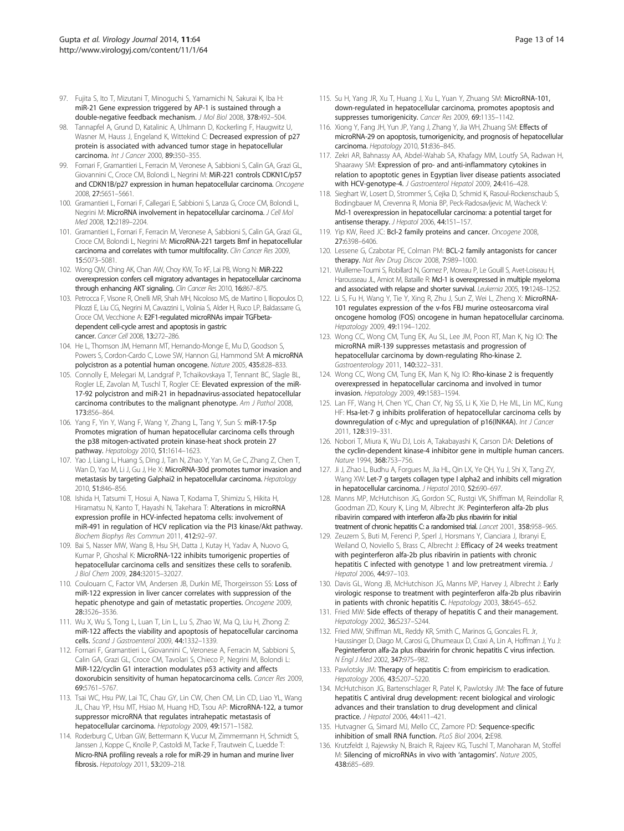- <span id="page-12-0"></span>97. Fujita S, Ito T, Mizutani T, Minoguchi S, Yamamichi N, Sakurai K, Iba H: miR-21 Gene expression triggered by AP-1 is sustained through a double-negative feedback mechanism. J Mol Biol 2008, 378:492–504.
- 98. Tannapfel A, Grund D, Katalinic A, Uhlmann D, Kockerling F, Haugwitz U, Wasner M, Hauss J, Engeland K, Wittekind C: Decreased expression of p27 protein is associated with advanced tumor stage in hepatocellular carcinoma. Int J Cancer 2000, 89:350–355.
- 99. Fornari F, Gramantieri L, Ferracin M, Veronese A, Sabbioni S, Calin GA, Grazi GL, Giovannini C, Croce CM, Bolondi L, Negrini M: MiR-221 controls CDKN1C/p57 and CDKN1B/p27 expression in human hepatocellular carcinoma. Oncogene 2008, 27:5651–5661.
- 100. Gramantieri L, Fornari F, Callegari E, Sabbioni S, Lanza G, Croce CM, Bolondi L, Negrini M: MicroRNA involvement in hepatocellular carcinoma. J Cell Mol Med 2008, 12:2189–2204.
- 101. Gramantieri L, Fornari F, Ferracin M, Veronese A, Sabbioni S, Calin GA, Grazi GL, Croce CM, Bolondi L, Negrini M: MicroRNA-221 targets Bmf in hepatocellular carcinoma and correlates with tumor multifocality. Clin Cancer Res 2009, 15:5073–5081.
- 102. Wong QW, Ching AK, Chan AW, Choy KW, To KF, Lai PB, Wong N: MiR-222 overexpression confers cell migratory advantages in hepatocellular carcinoma through enhancing AKT signaling. Clin Cancer Res 2010, 16:867-875.
- 103. Petrocca F, Visone R, Onelli MR, Shah MH, Nicoloso MS, de Martino I, Iliopoulos D, Pilozzi E, Liu CG, Negrini M, Cavazzini L, Volinia S, Alder H, Ruco LP, Baldassarre G, Croce CM, Vecchione A: E2F1-regulated microRNAs impair TGFbetadependent cell-cycle arrest and apoptosis in gastric cancer. Cancer Cell 2008, 13:272–286.
- 104. He L, Thomson JM, Hemann MT, Hernando-Monge E, Mu D, Goodson S, Powers S, Cordon-Cardo C, Lowe SW, Hannon GJ, Hammond SM: A microRNA polycistron as a potential human oncogene. Nature 2005, 435:828–833.
- 105. Connolly E, Melegari M, Landgraf P, Tchaikovskaya T, Tennant BC, Slagle BL, Rogler LE, Zavolan M, Tuschl T, Rogler CE: Elevated expression of the miR-17-92 polycistron and miR-21 in hepadnavirus-associated hepatocellular carcinoma contributes to the malignant phenotype. Am J Pathol 2008, 173:856–864.
- 106. Yang F, Yin Y, Wang F, Wang Y, Zhang L, Tang Y, Sun S: miR-17-5p Promotes migration of human hepatocellular carcinoma cells through the p38 mitogen-activated protein kinase-heat shock protein 27 pathway. Hepatology 2010, 51:1614–1623.
- 107. Yao J, Liang L, Huang S, Ding J, Tan N, Zhao Y, Yan M, Ge C, Zhang Z, Chen T, Wan D, Yao M, Li J, Gu J, He X: MicroRNA-30d promotes tumor invasion and metastasis by targeting Galphai2 in hepatocellular carcinoma. Hepatology 2010, 51:846–856.
- 108. Ishida H, Tatsumi T, Hosui A, Nawa T, Kodama T, Shimizu S, Hikita H, Hiramatsu N, Kanto T, Hayashi N, Takehara T: Alterations in microRNA expression profile in HCV-infected hepatoma cells: involvement of miR-491 in regulation of HCV replication via the PI3 kinase/Akt pathway. Biochem Biophys Res Commun 2011, 412:92–97.
- 109. Bai S, Nasser MW, Wang B, Hsu SH, Datta J, Kutay H, Yadav A, Nuovo G, Kumar P, Ghoshal K: MicroRNA-122 inhibits tumorigenic properties of hepatocellular carcinoma cells and sensitizes these cells to sorafenib. J Biol Chem 2009, 284:32015–32027.
- 110. Coulouarn C, Factor VM, Andersen JB, Durkin ME, Thorgeirsson SS: Loss of miR-122 expression in liver cancer correlates with suppression of the hepatic phenotype and gain of metastatic properties. Oncogene 2009, 28:3526–3536.
- 111. Wu X, Wu S, Tong L, Luan T, Lin L, Lu S, Zhao W, Ma Q, Liu H, Zhong Z: miR-122 affects the viability and apoptosis of hepatocellular carcinoma cells. Scand J Gastroenterol 2009, 44:1332–1339.
- 112. Fornari F, Gramantieri L, Giovannini C, Veronese A, Ferracin M, Sabbioni S, Calin GA, Grazi GL, Croce CM, Tavolari S, Chieco P, Negrini M, Bolondi L: MiR-122/cyclin G1 interaction modulates p53 activity and affects doxorubicin sensitivity of human hepatocarcinoma cells. Cancer Res 2009, 69:5761–5767.
- 113. Tsai WC, Hsu PW, Lai TC, Chau GY, Lin CW, Chen CM, Lin CD, Liao YL, Wang JL, Chau YP, Hsu MT, Hsiao M, Huang HD, Tsou AP: MicroRNA-122, a tumor suppressor microRNA that regulates intrahepatic metastasis of hepatocellular carcinoma. Hepatology 2009, 49:1571–1582.
- 114. Roderburg C, Urban GW, Bettermann K, Vucur M, Zimmermann H, Schmidt S, Janssen J, Koppe C, Knolle P, Castoldi M, Tacke F, Trautwein C, Luedde T: Micro-RNA profiling reveals a role for miR-29 in human and murine liver fibrosis. Hepatology 2011, 53:209-218.
- 115. Su H, Yang JR, Xu T, Huang J, Xu L, Yuan Y, Zhuang SM: MicroRNA-101, down-regulated in hepatocellular carcinoma, promotes apoptosis and suppresses tumorigenicity. Cancer Res 2009, 69:1135–1142.
- 116. Xiong Y, Fang JH, Yun JP, Yang J, Zhang Y, Jia WH, Zhuang SM: Effects of microRNA-29 on apoptosis, tumorigenicity, and prognosis of hepatocellular carcinoma. Hepatology 2010, 51:836–845.
- 117. Zekri AR, Bahnassy AA, Abdel-Wahab SA, Khafagy MM, Loutfy SA, Radwan H, Shaarawy SM: Expression of pro- and anti-inflammatory cytokines in relation to apoptotic genes in Egyptian liver disease patients associated with HCV-genotype-4. J Gastroenterol Hepatol 2009, 24:416–428.
- 118. Sieghart W, Losert D, Strommer S, Cejka D, Schmid K, Rasoul-Rockenschaub S, Bodingbauer M, Crevenna R, Monia BP, Peck-Radosavljevic M, Wacheck V: Mcl-1 overexpression in hepatocellular carcinoma: a potential target for antisense therapy. J Hepatol 2006, 44:151–157.
- 119. Yip KW, Reed JC: Bcl-2 family proteins and cancer. Oncogene 2008, 27:6398–6406.
- 120. Lessene G, Czabotar PE, Colman PM: BCL-2 family antagonists for cancer therapy. Nat Rev Drug Discov 2008, 7:989–1000.
- 121. Wuilleme-Toumi S, Robillard N, Gomez P, Moreau P, Le Gouill S, Avet-Loiseau H, Harousseau JL, Amiot M, Bataille R: Mcl-1 is overexpressed in multiple myeloma and associated with relapse and shorter survival. Leukemia 2005, 19:1248–1252.
- 122. Li S, Fu H, Wang Y, Tie Y, Xing R, Zhu J, Sun Z, Wei L, Zheng X: MicroRNA-101 regulates expression of the v-fos FBJ murine osteosarcoma viral oncogene homolog (FOS) oncogene in human hepatocellular carcinoma. Hepatology 2009, 49:1194-1202.
- 123. Wong CC, Wong CM, Tung EK, Au SL, Lee JM, Poon RT, Man K, Ng IO: The microRNA miR-139 suppresses metastasis and progression of hepatocellular carcinoma by down-regulating Rho-kinase 2. Gastroenterology 2011, 140:322–331.
- 124. Wong CC, Wong CM, Tung EK, Man K, Ng IO: Rho-kinase 2 is frequently overexpressed in hepatocellular carcinoma and involved in tumor invasion. Hepatology 2009, 49:1583–1594.
- 125. Lan FF, Wang H, Chen YC, Chan CY, Ng SS, Li K, Xie D, He ML, Lin MC, Kung HF: Hsa-let-7 g inhibits proliferation of hepatocellular carcinoma cells by downregulation of c-Myc and upregulation of p16(INK4A). Int J Cancer 2011, 128:319–331.
- 126. Nobori T, Miura K, Wu DJ, Lois A, Takabayashi K, Carson DA: Deletions of the cyclin-dependent kinase-4 inhibitor gene in multiple human cancers. Nature 1994, 368:753–756.
- 127. Ji J, Zhao L, Budhu A, Forgues M, Jia HL, Qin LX, Ye QH, Yu J, Shi X, Tang ZY, Wang XW: Let-7 g targets collagen type I alpha2 and inhibits cell migration in hepatocellular carcinoma. J Hepatol 2010, 52:690–697.
- 128. Manns MP, McHutchison JG, Gordon SC, Rustgi VK, Shiffman M, Reindollar R, Goodman ZD, Koury K, Ling M, Albrecht JK: Peginterferon alfa-2b plus ribavirin compared with interferon alfa-2b plus ribavirin for initial treatment of chronic hepatitis C: a randomised trial. Lancet 2001, 358:958–965.
- 129. Zeuzem S, Buti M, Ferenci P, Sperl J, Horsmans Y, Cianciara J, Ibranyi E, Weiland O, Noviello S, Brass C, Albrecht J: Efficacy of 24 weeks treatment with peginterferon alfa-2b plus ribavirin in patients with chronic hepatitis C infected with genotype 1 and low pretreatment viremia. J Hepatol 2006, 44:97–103.
- 130. Davis GL, Wong JB, McHutchison JG, Manns MP, Harvey J, Albrecht J: Early virologic response to treatment with peginterferon alfa-2b plus ribavirin in patients with chronic hepatitis C. Hepatology 2003, 38:645–652.
- 131. Fried MW: Side effects of therapy of hepatitis C and their management. Hepatology 2002, 36:S237–S244.
- 132. Fried MW, Shiffman ML, Reddy KR, Smith C, Marinos G, Goncales FL Jr, Haussinger D, Diago M, Carosi G, Dhumeaux D, Craxi A, Lin A, Hoffman J, Yu J: Peginterferon alfa-2a plus ribavirin for chronic hepatitis C virus infection. N Engl J Med 2002, 347:975–982.
- 133. Pawlotsky JM: Therapy of hepatitis C: from empiricism to eradication. Hepatology 2006, 43:S207–S220.
- 134. McHutchison JG, Bartenschlager R, Patel K, Pawlotsky JM: The face of future hepatitis C antiviral drug development: recent biological and virologic advances and their translation to drug development and clinical practice. J Hepatol 2006, 44:411–421.
- 135. Hutvagner G, Simard MJ, Mello CC, Zamore PD: Sequence-specific inhibition of small RNA function. PLoS Biol 2004, 2:E98.
- 136. Krutzfeldt J, Rajewsky N, Braich R, Rajeev KG, Tuschl T, Manoharan M, Stoffel M: Silencing of microRNAs in vivo with 'antagomirs'. Nature 2005, 438:685–689.